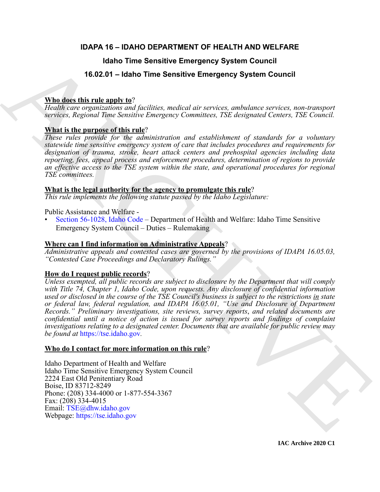### **IDAPA 16 – IDAHO DEPARTMENT OF HEALTH AND WELFARE**

### **Idaho Time Sensitive Emergency System Council**

### **16.02.01 – Idaho Time Sensitive Emergency System Council**

### **Who does this rule apply to**?

*Health care organizations and facilities, medical air services, ambulance services, non-transport services, Regional Time Sensitive Emergency Committees, TSE designated Centers, TSE Council.*

### **What is the purpose of this rule**?

*These rules provide for the administration and establishment of standards for a voluntary statewide time sensitive emergency system of care that includes procedures and requirements for designation of trauma, stroke, heart attack centers and prehospital agencies including data reporting, fees, appeal process and enforcement procedures, determination of regions to provide an effective access to the TSE system within the state, and operational procedures for regional TSE committees.*

#### **What is the legal authority for the agency to promulgate this rule**?

*This rule implements the following statute passed by the Idaho Legislature:*

Public Assistance and Welfare -

• Section 56-1028, Idaho Code – Department of Health and Welfare: Idaho Time Sensitive Emergency System Council – Duties – Rulemaking

#### **Where can I find information on Administrative Appeals**?

*Administrative appeals and contested cases are governed by the provisions of IDAPA 16.05.03, "Contested Case Proceedings and Declaratory Rulings."*

### **How do I request public records**?

**Hano Time Sensitive Emergency System [C](https://legislature.idaho.gov/statutesrules/idstat/Title56/T56CH10/SECT56-1028/)ouncil<br>
168.0.01 - Idaho Time Sensitive [E](mailto:TSE@dhw.idaho.gov)mergency System Council<br>
What distribution on the straighteer median are accreted to a service, and<br>since survey, a** *Regional Towns and facto Unless exempted, all public records are subject to disclosure by the Department that will comply with Title 74, Chapter 1, Idaho Code, upon requests. Any disclosure of confidential information used or disclosed in the course of the TSE Council's business is subject to the restrictions in state or federal law, federal regulation, and IDAPA 16.05.01, "Use and Disclosure of Department Records." Preliminary investigations, site reviews, survey reports*, *and related documents are confidential until a notice of action is issued for survey reports and findings of complaint investigations relating to a designated center. Documents that are available for public review may be found at* https://tse.idaho.gov*.*

#### **Who do I contact for more information on this rule**?

Idaho Department of Health and Welfare Idaho Time Sensitive Emergency System Council 2224 East Old Penitentiary Road Boise, ID 83712-8249 Phone: (208) 334-4000 or 1-877-554-3367 Fax: (208) 334-4015 Email: TSE@dhw.idaho.gov Webpage: https://tse.idaho.gov

**IAC Archive 2020 C1**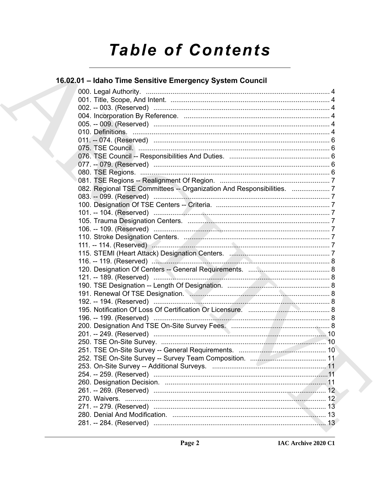# **Table of Contents**

### 16.02.01 - Idaho Time Sensitive Emergency System Council

| 082. Regional TSE Committees -- Organization And Responsibilities. 7 |  |
|----------------------------------------------------------------------|--|
|                                                                      |  |
|                                                                      |  |
|                                                                      |  |
|                                                                      |  |
|                                                                      |  |
|                                                                      |  |
|                                                                      |  |
|                                                                      |  |
|                                                                      |  |
|                                                                      |  |
|                                                                      |  |
|                                                                      |  |
|                                                                      |  |
|                                                                      |  |
|                                                                      |  |
|                                                                      |  |
|                                                                      |  |
|                                                                      |  |
|                                                                      |  |
|                                                                      |  |
|                                                                      |  |
|                                                                      |  |
|                                                                      |  |
|                                                                      |  |
|                                                                      |  |
|                                                                      |  |
|                                                                      |  |
|                                                                      |  |
|                                                                      |  |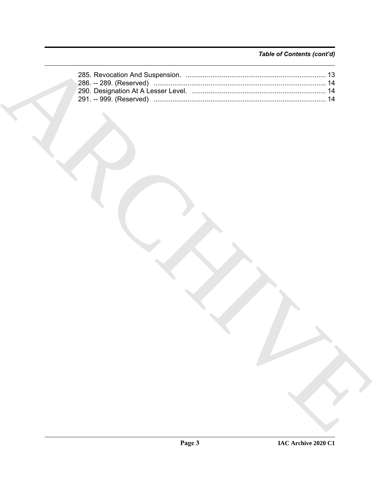### Table of Contents (cont'd)

| 286. -- 289. (Reserved) …………………………………………………………………………… 14 |  |
|----------------------------------------------------------|--|
|                                                          |  |
|                                                          |  |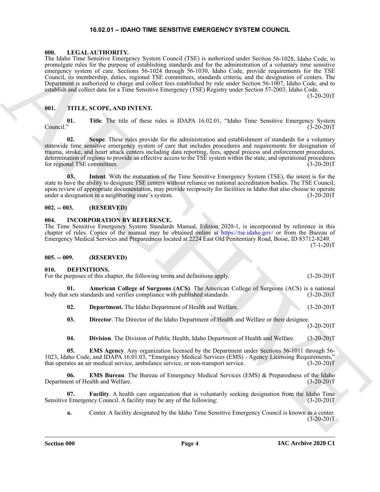#### **16.02.01 – IDAHO TIME SENSITIVE EMERGENCY SYSTEM COUNCIL**

#### <span id="page-3-16"></span><span id="page-3-1"></span><span id="page-3-0"></span>**000. LEGAL AUTHORITY.**

The Make This Share that Share is a contribute of the state of the state of the state of the state of the state of the state of the state of the state of the state of the state of the state of the state of the state of th The Idaho Time Sensitive Emergency System Council (TSE) is authorized under Section 56-1028, Idaho Code, to promulgate rules for the purpose of establishing standards and for the administration of a voluntary time sensitive emergency system of care. Sections 56-1024 through 56-1030, Idaho Code, provide requirements for the TSE Council, its membership, duties, regional TSE committees, standards criteria, and the designation of centers. The Department is authorized to charge and collect fees established by rule under Section 56-1007, Idaho Code, and to establish and collect data for a Time Sensitive Emergency (TSE) Registry under Section 57-2003, Idaho Code.

 $(3-20-20)T$ 

#### <span id="page-3-17"></span><span id="page-3-2"></span>**001. TITLE, SCOPE, AND INTENT.**

**01.** Title. The title of these rules is IDAPA 16.02.01, "Idaho Time Sensitive Emergency System Council." (3-20-20) Council." (3-20-20)T

**02. Scope**. These rules provide for the administration and establishment of standards for a voluntary statewide time sensitive emergency system of care that includes procedures and requirements for designation of trauma, stroke, and heart attack centers including data reporting, fees, appeal process and enforcement procedures, determination of regions to provide an effective access to the TSE system within the state, and operational procedures for regional TSE committees. (3-20-20) for regional TSE committees.

**03. Intent**. With the maturation of the Time Sensitive Emergency System (TSE), the intent is for the state to have the ability to designate TSE centers without reliance on national accreditation bodies. The TSE Council, upon review of appropriate documentation, may provide reciprocity for facilities in Idaho that also choose to operate under a designation in a neighboring state's system. (3-20-20)T

#### <span id="page-3-3"></span>**002. -- 003. (RESERVED)**

#### <span id="page-3-15"></span><span id="page-3-4"></span>**004. INCORPORATION BY REFERENCE.**

The Time Sensitive Emergency System Standards Manual, Edition 2020-1, is incorporated by reference in this chapter of rules. Copies of the manual may be obtained online at https://tse.idaho.gov/ or from the Bureau of Emergency Medical Services and Preparedness located at 2224 East Old Penitentiary Road, Boise, ID 83712-8249.  $(7-1-20)T$ 

#### <span id="page-3-5"></span>**005. -- 009. (RESERVED)**

#### <span id="page-3-7"></span><span id="page-3-6"></span>**010. DEFINITIONS.**

| For the purposes of this chapter, the following terms and definitions apply.                     | $(3-20-20)T$ |
|--------------------------------------------------------------------------------------------------|--------------|
| <b>American College of Surgeons (ACS)</b> . The American College of Surgeons (ACS) is a national |              |
| body that sets standards and verifies compliance with published standards.                       | $(3-20-20)T$ |

<span id="page-3-9"></span><span id="page-3-8"></span>**02. Department.** The Idaho Department of Health and Welfare. (3-20-20)T

<span id="page-3-10"></span>**03. Director**. The Director of the Idaho Department of Health and Welfare or their designee.

 $(3-20-20)T$ 

<span id="page-3-13"></span><span id="page-3-12"></span><span id="page-3-11"></span>**04. Division**. The Division of Public Health, Idaho Department of Health and Welfare. (3-20-20)T

**05. EMS Agency**. Any organization licensed by the Department under Sections 56-1011 through 56- 1023, Idaho Code, and IDAPA 16.01.03, "Emergency Medical Services (EMS) - Agency Licensing Requirements," that operates an air medical service, ambulance service, or non-transport service. (3-20-20)T

**06. EMS Bureau**. The Bureau of Emergency Medical Services (EMS) & Preparedness of the Idaho Department of Health and Welfare. (3-20-20)T

**07. Facility**. A health care organization that is voluntarily seeking designation from the Idaho Time Sensitive Emergency Council. A facility may be any of the following: (3-20-20)T

<span id="page-3-14"></span>**a.** Center. A facility designated by the Idaho Time Sensitive Emergency Council is known as a center.  $(3-20-20)T$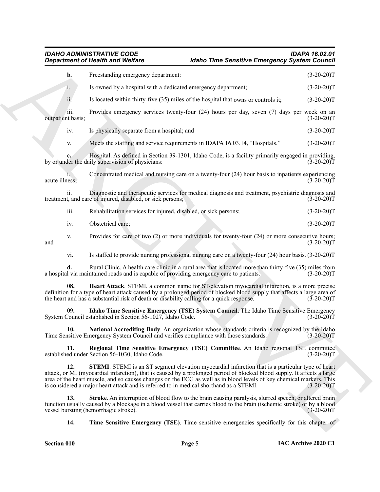<span id="page-4-6"></span><span id="page-4-5"></span><span id="page-4-4"></span><span id="page-4-3"></span><span id="page-4-2"></span><span id="page-4-1"></span><span id="page-4-0"></span>*IDAHO ADMINISTRATIVE CODE IDAPA 16.02.01 Department of Health and Welfare Idaho Time Sensitive Emergency System Council*

|                           | <b>Idaho Time Sensitive Emergency System Council</b><br><b>Department of Health and Welfare</b>                                                                                                                                                                                                                                                                                                                                                      |              |
|---------------------------|------------------------------------------------------------------------------------------------------------------------------------------------------------------------------------------------------------------------------------------------------------------------------------------------------------------------------------------------------------------------------------------------------------------------------------------------------|--------------|
| b.                        | Freestanding emergency department:                                                                                                                                                                                                                                                                                                                                                                                                                   | $(3-20-20)T$ |
| 1.                        | Is owned by a hospital with a dedicated emergency department;                                                                                                                                                                                                                                                                                                                                                                                        | $(3-20-20)T$ |
| ii.                       | Is located within thirty-five (35) miles of the hospital that owns or controls it;                                                                                                                                                                                                                                                                                                                                                                   | $(3-20-20)T$ |
| iii.<br>outpatient basis; | Provides emergency services twenty-four (24) hours per day, seven (7) days per week on an                                                                                                                                                                                                                                                                                                                                                            | $(3-20-20)T$ |
| iv.                       | Is physically separate from a hospital; and                                                                                                                                                                                                                                                                                                                                                                                                          | $(3-20-20)T$ |
| V.                        | Meets the staffing and service requirements in IDAPA 16.03.14, "Hospitals."                                                                                                                                                                                                                                                                                                                                                                          | $(3-20-20)T$ |
|                           | Hospital. As defined in Section 39-1301, Idaho Code, is a facility primarily engaged in providing,<br>by or under the daily supervision of physicians:                                                                                                                                                                                                                                                                                               | $(3-20-20)T$ |
| acute illness;            | Concentrated medical and nursing care on a twenty-four (24) hour basis to inpatients experiencing                                                                                                                                                                                                                                                                                                                                                    | $(3-20-20)T$ |
| ii.                       | Diagnostic and therapeutic services for medical diagnosis and treatment, psychiatric diagnosis and<br>treatment, and care of injured, disabled, or sick persons;                                                                                                                                                                                                                                                                                     | $(3-20-20)T$ |
| iii.                      | Rehabilitation services for injured, disabled, or sick persons;                                                                                                                                                                                                                                                                                                                                                                                      | $(3-20-20)T$ |
| iv.                       | Obstetrical care;                                                                                                                                                                                                                                                                                                                                                                                                                                    | $(3-20-20)T$ |
| V.<br>and                 | Provides for care of two $(2)$ or more individuals for twenty-four $(24)$ or more consecutive hours;                                                                                                                                                                                                                                                                                                                                                 | $(3-20-20)T$ |
| vi.                       | Is staffed to provide nursing professional nursing care on a twenty-four (24) hour basis. (3-20-20)T                                                                                                                                                                                                                                                                                                                                                 |              |
| d.                        | Rural Clinic. A health care clinic in a rural area that is located more than thirty-five (35) miles from<br>a hospital via maintained roads and is capable of providing emergency care to patients.                                                                                                                                                                                                                                                  | $(3-20-20)T$ |
| 08.                       | Heart Attack. STEMI, a common name for ST-elevation myocardial infarction, is a more precise<br>definition for a type of heart attack caused by a prolonged period of blocked blood supply that affects a large area of<br>the heart and has a substantial risk of death or disability calling for a quick response.                                                                                                                                 | $(3-20-20)T$ |
| 09.                       | Idaho Time Sensitive Emergency (TSE) System Council. The Idaho Time Sensitive Emergency<br>System Council established in Section 56-1027, Idaho Code.                                                                                                                                                                                                                                                                                                | $(3-20-20)T$ |
| 10.                       | National Accrediting Body. An organization whose standards criteria is recognized by the Idaho<br>Time Sensitive Emergency System Council and verifies compliance with those standards.                                                                                                                                                                                                                                                              | $(3-20-20)T$ |
| 11.                       | Regional Time Sensitive Emergency (TSE) Committee. An Idaho regional TSE committee<br>established under Section 56-1030, Idaho Code.                                                                                                                                                                                                                                                                                                                 | $(3-20-20)T$ |
| 12.                       | <b>STEMI</b> . STEMI is an ST segment elevation myocardial infarction that is a particular type of heart<br>attack, or MI (myocardial infarction), that is caused by a prolonged period of blocked blood supply. It affects a large<br>area of the heart muscle, and so causes changes on the ECG as well as in blood levels of key chemical markers. This<br>is considered a major heart attack and is referred to in medical shorthand as a STEMI. | $(3-20-20)T$ |
| 13.                       | Stroke. An interruption of blood flow to the brain causing paralysis, slurred speech, or altered brain<br>function usually caused by a blockage in a blood vessel that carries blood to the brain (ischemic stroke) or by a blood<br>vessel bursting (hemorrhagic stroke).                                                                                                                                                                           | $(3-20-20)T$ |
| 14.                       | <b>Time Sensitive Emergency (TSE).</b> Time sensitive emergencies specifically for this chapter of                                                                                                                                                                                                                                                                                                                                                   |              |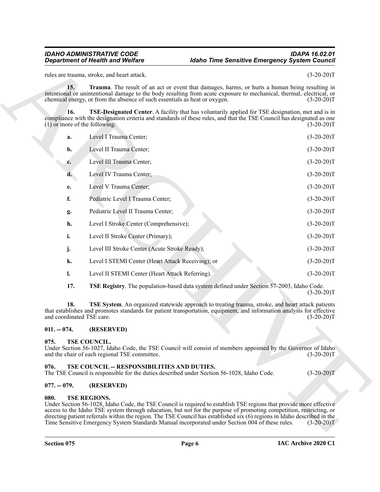#### <span id="page-5-8"></span><span id="page-5-5"></span>*IDAHO ADMINISTRATIVE CODE IDAPA 16.02.01 <u>Idaho Time Sensitive Emergency System Council*</u>

|                                        | <b>Department of Health and Welfare</b>                                                                                                   | <b>Idaho Time Sensitive Emergency System Council</b>                                                                                                                                                                                                                                                                                                                   |              |
|----------------------------------------|-------------------------------------------------------------------------------------------------------------------------------------------|------------------------------------------------------------------------------------------------------------------------------------------------------------------------------------------------------------------------------------------------------------------------------------------------------------------------------------------------------------------------|--------------|
|                                        | rules are trauma, stroke, and heart attack.                                                                                               |                                                                                                                                                                                                                                                                                                                                                                        | $(3-20-20)T$ |
| 15.                                    | chemical energy, or from the absence of such essentials as heat or oxygen.                                                                | Trauma. The result of an act or event that damages, harms, or hurts a human being resulting in<br>intentional or unintentional damage to the body resulting from acute exposure to mechanical, thermal, electrical, or                                                                                                                                                 | $(3-20-20)T$ |
| 16.<br>$(1)$ or more of the following: |                                                                                                                                           | <b>TSE-Designated Center.</b> A facility that has voluntarily applied for TSE designation, met and is in<br>compliance with the designation criteria and standards of these rules, and that the TSE Council has designated as one                                                                                                                                      | $(3-20-20)T$ |
| a.                                     | Level I Trauma Center;                                                                                                                    |                                                                                                                                                                                                                                                                                                                                                                        | $(3-20-20)T$ |
| b.                                     | Level II Trauma Center;                                                                                                                   |                                                                                                                                                                                                                                                                                                                                                                        | $(3-20-20)T$ |
| c.                                     | Level III Trauma Center;                                                                                                                  |                                                                                                                                                                                                                                                                                                                                                                        | $(3-20-20)T$ |
| d.                                     | Level IV Trauma Center;                                                                                                                   |                                                                                                                                                                                                                                                                                                                                                                        | $(3-20-20)T$ |
| e.                                     | Level V Trauma Center;                                                                                                                    |                                                                                                                                                                                                                                                                                                                                                                        | $(3-20-20)T$ |
| f.                                     | Pediatric Level I Trauma Center;                                                                                                          |                                                                                                                                                                                                                                                                                                                                                                        | $(3-20-20)T$ |
| g.                                     | Pediatric Level II Trauma Center;                                                                                                         |                                                                                                                                                                                                                                                                                                                                                                        | $(3-20-20)T$ |
| h.                                     | Level I Stroke Center (Comprehensive);                                                                                                    |                                                                                                                                                                                                                                                                                                                                                                        | $(3-20-20)T$ |
| i.                                     | Level II Stroke Center (Primary);                                                                                                         |                                                                                                                                                                                                                                                                                                                                                                        | $(3-20-20)T$ |
| j.                                     | Level III Stroke Center (Acute Stroke Ready);                                                                                             |                                                                                                                                                                                                                                                                                                                                                                        | $(3-20-20)T$ |
| k.                                     | Level I STEMI Center (Heart Attack Receiving); or                                                                                         |                                                                                                                                                                                                                                                                                                                                                                        | $(3-20-20)T$ |
| 1.                                     | Level II STEMI Center (Heart Attack Referring).                                                                                           |                                                                                                                                                                                                                                                                                                                                                                        | $(3-20-20)T$ |
| 17.                                    |                                                                                                                                           | TSE Registry. The population-based data system defined under Section 57-2003, Idaho Code.                                                                                                                                                                                                                                                                              | $(3-20-20)T$ |
| 18.<br>and coordinated TSE care.       |                                                                                                                                           | TSE System. An organized statewide approach to treating trauma, stroke, and heart attack patients<br>that establishes and promotes standards for patient transportation, equipment, and information analysis for effective                                                                                                                                             | $(3-20-20)T$ |
| $011. - 074.$                          | (RESERVED)                                                                                                                                |                                                                                                                                                                                                                                                                                                                                                                        |              |
| 075.                                   | TSE COUNCIL.<br>and the chair of each regional TSE committee.                                                                             | Under Section 56-1027, Idaho Code, the TSE Council will consist of members appointed by the Governor of Idaho                                                                                                                                                                                                                                                          | $(3-20-20)T$ |
| 076.                                   | TSE COUNCIL -- RESPONSIBILITIES AND DUTIES.<br>The TSE Council is responsible for the duties described under Section 56-1028, Idaho Code. |                                                                                                                                                                                                                                                                                                                                                                        | $(3-20-20)T$ |
| $077. - 079.$                          | (RESERVED)                                                                                                                                |                                                                                                                                                                                                                                                                                                                                                                        |              |
| 080.                                   | <b>TSE REGIONS.</b>                                                                                                                       | Under Section 56-1028, Idaho Code, the TSE Council is required to establish TSE regions that provide more effective<br>access to the Idaho TSE system through education, but not for the purpose of promoting competition, restricting, or<br>directing patient referrals within the region. The TSE Council has established six (6) regions in Idaho described in the |              |

#### <span id="page-5-7"></span><span id="page-5-6"></span><span id="page-5-0"></span>**011. -- 074. (RESERVED)**

#### <span id="page-5-9"></span><span id="page-5-1"></span>**075. TSE COUNCIL.**

#### <span id="page-5-10"></span><span id="page-5-2"></span>**076. TSE COUNCIL -- RESPONSIBILITIES AND DUTIES.**

#### <span id="page-5-3"></span>**077. -- 079. (RESERVED)**

#### <span id="page-5-11"></span><span id="page-5-4"></span>**080. TSE REGIONS.**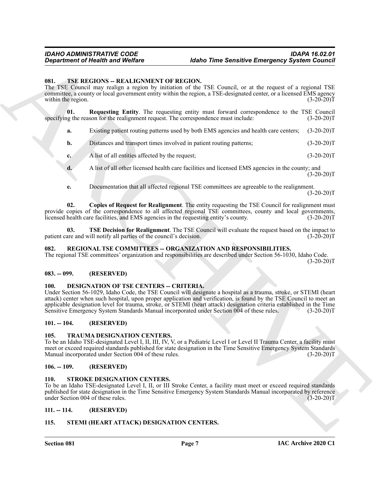#### <span id="page-6-15"></span><span id="page-6-0"></span>**081. TSE REGIONS -- REALIGNMENT OF REGION.**

The TSE Council may realign a region by initiation of the TSE Council, or at the request of a regional TSE committee, a county or local government entity within the region, a TSE-designated center, or a licensed EMS agency within the region. (3-20-20)T

**01.** Requesting Entity. The requesting entity must forward correspondence to the TSE Council lighter reason for the realignment request. The correspondence must include: (3-20-20) specifying the reason for the realignment request. The correspondence must include:

- <span id="page-6-17"></span>**a.** Existing patient routing patterns used by both EMS agencies and health care centers; (3-20-20)T
- **b.** Distances and transport times involved in patient routing patterns; (3-20-20)T
- **c.** A list of all entities affected by the request; (3-20-20)T
- **d.** A list of all other licensed health care facilities and licensed EMS agencies in the county; and  $(3-20-20)T$
- <span id="page-6-18"></span><span id="page-6-16"></span>**e.** Documentation that all affected regional TSE committees are agreeable to the realignment.  $(3-20-20)T$

**02. Copies of Request for Realignment**. The entity requesting the TSE Council for realignment must provide copies of the correspondence to all affected regional TSE committees, county and local governments, licensed health care facilities, and EMS agencies in the requesting entity's county. (3-20-20)T

**03. TSE Decision for Realignment**. The TSE Council will evaluate the request based on the impact to patient care and will notify all parties of the council's decision. (3-20-20)T

#### <span id="page-6-11"></span><span id="page-6-1"></span>**082. REGIONAL TSE COMMITTEES -- ORGANIZATION AND RESPONSIBILITIES.**

The regional TSE committees' organization and responsibilities are described under Section 56-1030, Idaho Code.  $(3-20-20)T$ 

#### <span id="page-6-2"></span>**083. -- 099. (RESERVED)**

#### <span id="page-6-10"></span><span id="page-6-3"></span>**100. DESIGNATION OF TSE CENTERS -- CRITERIA.**

**Equivariant of Health was Welfare**<br> **(Also Drive Sensitive Energoncy System Council**<br>
11. THE HERCHIVES CONTINENT OF THE CONTINENT of the state of the space of the region of the space of the region of the space of the re Under Section 56-1029, Idaho Code, the TSE Council will designate a hospital as a trauma, stroke, or STEMI (heart attack) center when such hospital, upon proper application and verification, is found by the TSE Council to meet an applicable designation level for trauma, stroke, or STEMI (heart attack) designation criteria established in the Time Sensitive Emergency System Standards Manual incorporated under Section 004 of these rules. (3-20-20)T

#### <span id="page-6-4"></span>**101. -- 104. (RESERVED)**

#### <span id="page-6-14"></span><span id="page-6-5"></span>**105. TRAUMA DESIGNATION CENTERS.**

To be an Idaho TSE-designated Level I, II, III, IV, V, or a Pediatric Level I or Level II Trauma Center, a facility must meet or exceed required standards published for state designation in the Time Sensitive Emergency System Standards<br>Manual incorporated under Section 004 of these rules. (3-20-20) Manual incorporated under Section 004 of these rules.

#### <span id="page-6-6"></span>**106. -- 109. (RESERVED)**

#### <span id="page-6-13"></span><span id="page-6-7"></span>**110. STROKE DESIGNATION CENTERS.**

To be an Idaho TSE-designated Level I, II, or III Stroke Center, a facility must meet or exceed required standards published for state designation in the Time Sensitive Emergency System Standards Manual incorporated by reference under Section 004 of these rules. (3-20-20)T

#### <span id="page-6-8"></span>**111. -- 114. (RESERVED)**

#### <span id="page-6-12"></span><span id="page-6-9"></span>**115. STEMI (HEART ATTACK) DESIGNATION CENTERS.**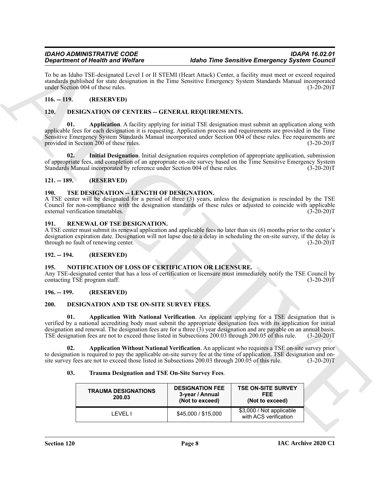#### <span id="page-7-0"></span>**116. -- 119. (RESERVED)**

#### <span id="page-7-14"></span><span id="page-7-13"></span><span id="page-7-1"></span>**120. DESIGNATION OF CENTERS -- GENERAL REQUIREMENTS.**

#### <span id="page-7-15"></span><span id="page-7-2"></span>**121. -- 189. (RESERVED)**

#### <span id="page-7-18"></span><span id="page-7-3"></span>190. TSE DESIGNATION -- LENGTH OF DESIGNATION.

#### <span id="page-7-17"></span><span id="page-7-4"></span>**191. RENEWAL OF TSE DESIGNATION.**

#### <span id="page-7-5"></span>**192. -- 194. (RESERVED)**

#### <span id="page-7-16"></span><span id="page-7-6"></span>**195. NOTIFICATION OF LOSS OF CERTIFICATION OR LICENSURE.**

#### <span id="page-7-7"></span>**196. -- 199. (RESERVED)**

#### <span id="page-7-10"></span><span id="page-7-9"></span><span id="page-7-8"></span>**200. DESIGNATION AND TSE ON-SITE SURVEY FEES.**

#### <span id="page-7-12"></span><span id="page-7-11"></span>**03. Trauma Designation and TSE On-Site Survey Fees**.

|               | <b>Department of Health and Welfare</b>                                                                                                                                                                                                                                                                                                                                                                                                                             |                                                              | <b>Idaho Time Sensitive Emergency System Council</b>       |              |
|---------------|---------------------------------------------------------------------------------------------------------------------------------------------------------------------------------------------------------------------------------------------------------------------------------------------------------------------------------------------------------------------------------------------------------------------------------------------------------------------|--------------------------------------------------------------|------------------------------------------------------------|--------------|
|               | To be an Idaho TSE-designated Level I or II STEMI (Heart Attack) Center, a facility must meet or exceed required<br>standards published for state designation in the Time Sensitive Emergency System Standards Manual incorporated<br>under Section 004 of these rules.                                                                                                                                                                                             |                                                              |                                                            | $(3-20-20)T$ |
| $116. - 119.$ | (RESERVED)                                                                                                                                                                                                                                                                                                                                                                                                                                                          |                                                              |                                                            |              |
| <b>120.</b>   | DESIGNATION OF CENTERS -- GENERAL REQUIREMENTS.                                                                                                                                                                                                                                                                                                                                                                                                                     |                                                              |                                                            |              |
| 01.           | Application. A facility applying for initial TSE designation must submit an application along with<br>applicable fees for each designation it is requesting. Application process and requirements are provided in the Time<br>Sensitive Emergency System Standards Manual incorporated under Section 004 of these rules. Fee requirements are<br>provided in Section 200 of these rules.                                                                            |                                                              |                                                            | $(3-20-20)T$ |
| 02.           | Initial Designation. Initial designation requires completion of appropriate application, submission<br>of appropriate fees, and completion of an appropriate on-site survey based on the Time Sensitive Emergency System<br>Standards Manual incorporated by reference under Section 004 of these rules.                                                                                                                                                            |                                                              |                                                            | $(3-20-20)T$ |
| $121. - 189.$ | (RESERVED)                                                                                                                                                                                                                                                                                                                                                                                                                                                          |                                                              |                                                            |              |
| 190.          | TSE DESIGNATION -- LENGTH OF DESIGNATION.<br>A TSE center will be designated for a period of three (3) years, unless the designation is rescinded by the TSE<br>Council for non-compliance with the designation standards of these rules or adjusted to coincide with applicable<br>external verification timetables.                                                                                                                                               |                                                              |                                                            | $(3-20-20)T$ |
| 191.          | RENEWAL OF TSE DESIGNATION.<br>A TSE center must submit its renewal application and applicable fees no later than six (6) months prior to the center's<br>designation expiration date. Designation will not lapse due to a delay in scheduling the on-site survey, if the delay is<br>through no fault of renewing center.                                                                                                                                          |                                                              |                                                            | $(3-20-20)T$ |
| $192. - 194.$ | (RESERVED)                                                                                                                                                                                                                                                                                                                                                                                                                                                          |                                                              |                                                            |              |
| 195.          | NOTIFICATION OF LOSS OF CERTIFICATION OR LICENSURE.<br>Any TSE-designated center that has a loss of certification or licensure must immediately notify the TSE Council by<br>contacting TSE program staff.                                                                                                                                                                                                                                                          |                                                              |                                                            | $(3-20-20)T$ |
| $196. - 199.$ | (RESERVED)                                                                                                                                                                                                                                                                                                                                                                                                                                                          |                                                              |                                                            |              |
|               |                                                                                                                                                                                                                                                                                                                                                                                                                                                                     |                                                              |                                                            |              |
| 200.          | DESIGNATION AND TSE ON-SITE SURVEY FEES.                                                                                                                                                                                                                                                                                                                                                                                                                            |                                                              |                                                            |              |
| 01.           | Application With National Verification. An applicant applying for a TSE designation that is<br>verified by a national accrediting body must submit the appropriate designation fees with its application for initial<br>designation and renewal. The designation fees are for a three (3) year designation and are payable on an annual basis.<br>TSE designation fees are not to exceed those listed in Subsections 200.03 through 200.05 of this rule. (3-20-20)T |                                                              |                                                            |              |
| 02.           | Application Without National Verification. An applicant who requires a TSE on-site survey prior<br>to designation is required to pay the applicable on-site survey fee at the time of application. TSE designation and on-<br>site survey fees are not to exceed those listed in Subsections 200.03 through 200.05 of this rule.                                                                                                                                    |                                                              |                                                            | $(3-20-20)T$ |
| 03.           | Trauma Designation and TSE On-Site Survey Fees.                                                                                                                                                                                                                                                                                                                                                                                                                     |                                                              |                                                            |              |
|               | <b>TRAUMA DESIGNATIONS</b><br>200.03                                                                                                                                                                                                                                                                                                                                                                                                                                | <b>DESIGNATION FEE</b><br>3-year / Annual<br>(Not to exceed) | <b>TSE ON-SITE SURVEY</b><br><b>FEE</b><br>(Not to exceed) |              |
|               | <b>LEVEL I</b>                                                                                                                                                                                                                                                                                                                                                                                                                                                      | \$45,000 / \$15,000                                          | \$3,000 / Not applicable                                   |              |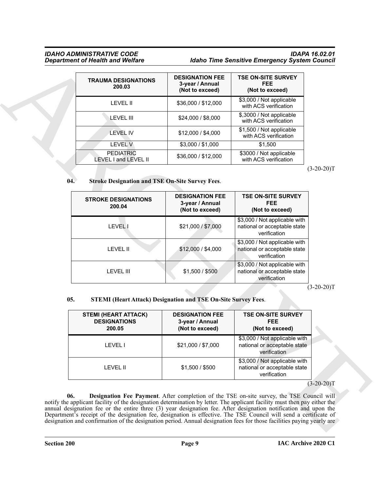#### *IDAHO ADMINISTRATIVE CODE IDAPA 16.02.01* **Idaho Time Sensitive Emergency System Council**

| <b>TRAUMA DESIGNATIONS</b><br>200.03     | <b>DESIGNATION FEE</b><br>3-year / Annual<br>(Not to exceed) | <b>TSE ON-SITE SURVEY</b><br><b>FEE</b><br>(Not to exceed) |
|------------------------------------------|--------------------------------------------------------------|------------------------------------------------------------|
| <b>LEVEL II</b>                          | \$36,000 / \$12,000                                          | \$3,000 / Not applicable<br>with ACS verification          |
| LEVEL III                                | \$24,000 / \$8,000                                           | \$,3000 / Not applicable<br>with ACS verification          |
| <b>LEVEL IV</b>                          | \$12,000 / \$4,000                                           | \$1,500 / Not applicable<br>with ACS verification          |
| <b>LEVEL V</b>                           | \$3,000 / \$1,000                                            | \$1.500                                                    |
| <b>PEDIATRIC</b><br>LEVEL I and LEVEL II | \$36,000 / \$12,000                                          | \$3000 / Not applicable<br>with ACS verification           |

#### <span id="page-8-2"></span>**04. Stroke Designation and TSE On-Site Survey Fees**.

| <b>TRAUMA DESIGNATIONS</b><br>200.03                                                                                             | <b>DESIGNATION FEE</b><br>3-year / Annual<br>(Not to exceed)                                                                         | <b>TSE ON-SITE SURVEY</b><br><b>FEE</b><br>(Not to exceed)                                                                                                                                                    |              |
|----------------------------------------------------------------------------------------------------------------------------------|--------------------------------------------------------------------------------------------------------------------------------------|---------------------------------------------------------------------------------------------------------------------------------------------------------------------------------------------------------------|--------------|
| <b>LEVEL II</b>                                                                                                                  | \$36,000 / \$12,000                                                                                                                  | \$3,000 / Not applicable<br>with ACS verification                                                                                                                                                             |              |
| <b>LEVEL III</b>                                                                                                                 | \$24,000 / \$8,000                                                                                                                   | \$,3000 / Not applicable<br>with ACS verification                                                                                                                                                             |              |
| <b>LEVEL IV</b>                                                                                                                  | \$12,000 / \$4,000                                                                                                                   | \$1,500 / Not applicable<br>with ACS verification                                                                                                                                                             |              |
| <b>LEVEL V</b>                                                                                                                   | \$3,000 / \$1,000                                                                                                                    | \$1,500                                                                                                                                                                                                       |              |
| <b>PEDIATRIC</b><br>LEVEL I and LEVEL II                                                                                         | \$36,000 / \$12,000                                                                                                                  | \$3000 / Not applicable<br>with ACS verification                                                                                                                                                              |              |
| 04.<br><b>Stroke Designation and TSE On-Site Survey Fees.</b>                                                                    |                                                                                                                                      |                                                                                                                                                                                                               | $(3-20-20)T$ |
| <b>STROKE DESIGNATIONS</b><br>200.04                                                                                             | <b>DESIGNATION FEE</b><br>3-year / Annual<br>(Not to exceed)                                                                         | <b>TSE ON-SITE SURVEY</b><br><b>FEE</b><br>(Not to exceed)                                                                                                                                                    |              |
| <b>LEVELI</b>                                                                                                                    | \$21,000 / \$7,000                                                                                                                   | \$3,000 / Not applicable with<br>national or acceptable state<br>verification                                                                                                                                 |              |
| <b>LEVEL II</b>                                                                                                                  | \$12,000 / \$4,000                                                                                                                   | \$3,000 / Not applicable with<br>national or acceptable state<br>verification                                                                                                                                 |              |
| <b>LEVEL III</b>                                                                                                                 | \$1,500 / \$500                                                                                                                      | \$3,000 / Not applicable with<br>national or acceptable state<br>verification                                                                                                                                 |              |
| 05.<br><b>STEMI (HEART ATTACK)</b><br><b>DESIGNATIONS</b><br>200.05                                                              | <b>STEMI (Heart Attack) Designation and TSE On-Site Survey Fees.</b><br><b>DESIGNATION FEE</b><br>3-year / Annual<br>(Not to exceed) | <b>TSE ON-SITE SURVEY</b><br><b>FEE</b><br>(Not to exceed)                                                                                                                                                    | $(3-20-20)T$ |
| LEVEL I                                                                                                                          | \$21,000 / \$7,000                                                                                                                   | \$3,000 / Not applicable with<br>national or acceptable state<br>verification                                                                                                                                 |              |
| <b>LEVEL II</b>                                                                                                                  | \$1,500 / \$500                                                                                                                      | \$3,000 / Not applicable with<br>national or acceptable state<br>verification                                                                                                                                 |              |
|                                                                                                                                  |                                                                                                                                      |                                                                                                                                                                                                               | $(3-20-20)T$ |
| 06.<br>notify the applicant facility of the designation determination by letter. The applicant facility must then pay either the |                                                                                                                                      | Designation Fee Payment. After completion of the TSE on-site survey, the TSE Council will<br>annual designation fee or the entire three (3) year designation fee. After designation notification and upon the |              |

#### <span id="page-8-1"></span>**05. STEMI (Heart Attack) Designation and TSE On-Site Survey Fees**.

<span id="page-8-0"></span>

| <b>STEMI (HEART ATTACK)</b><br><b>DESIGNATIONS</b><br>200.05 | <b>DESIGNATION FEE</b><br>3-year / Annual<br>(Not to exceed) | <b>TSE ON-SITE SURVEY</b><br><b>FEE</b><br>(Not to exceed)                    |
|--------------------------------------------------------------|--------------------------------------------------------------|-------------------------------------------------------------------------------|
| I FVFI I                                                     | \$21,000 / \$7,000                                           | \$3,000 / Not applicable with<br>national or acceptable state<br>verification |
| LEVEL II                                                     | \$1,500 / \$500                                              | \$3,000 / Not applicable with<br>national or acceptable state<br>verification |

#### $(3-20-20)T$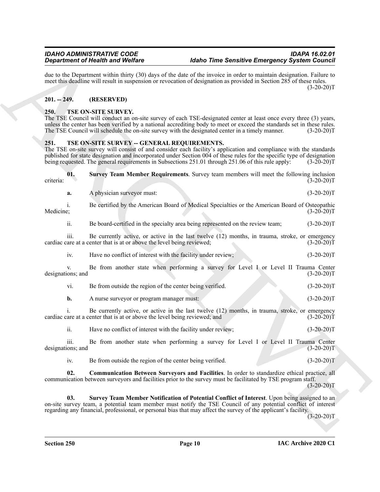#### <span id="page-9-0"></span>**201. -- 249. (RESERVED)**

#### <span id="page-9-3"></span><span id="page-9-1"></span>**250. TSE ON-SITE SURVEY.**

#### <span id="page-9-7"></span><span id="page-9-6"></span><span id="page-9-5"></span><span id="page-9-4"></span><span id="page-9-2"></span>**251. TSE ON-SITE SURVEY -- GENERAL REQUIREMENTS.**

|                           | <b>Department of Health and Welfare</b>                                                                                                                                                                                                                                                                                                                                                          | <b>Idaho Time Sensitive Emergency System Council</b> |              |
|---------------------------|--------------------------------------------------------------------------------------------------------------------------------------------------------------------------------------------------------------------------------------------------------------------------------------------------------------------------------------------------------------------------------------------------|------------------------------------------------------|--------------|
|                           | due to the Department within thirty (30) days of the date of the invoice in order to maintain designation. Failure to<br>meet this deadline will result in suspension or revocation of designation as provided in Section 285 of these rules.                                                                                                                                                    |                                                      | $(3-20-20)T$ |
| $201. - 249.$             | (RESERVED)                                                                                                                                                                                                                                                                                                                                                                                       |                                                      |              |
| 250.                      | TSE ON-SITE SURVEY.<br>The TSE Council will conduct an on-site survey of each TSE-designated center at least once every three (3) years,<br>unless the center has been verified by a national accrediting body to meet or exceed the standards set in these rules.<br>The TSE Council will schedule the on-site survey with the designated center in a timely manner.                            |                                                      | $(3-20-20)T$ |
| 251.                      | TSE ON-SITE SURVEY -- GENERAL REQUIREMENTS.<br>The TSE on-site survey will consist of and consider each facility's application and compliance with the standards<br>published for state designation and incorporated under Section 004 of these rules for the specific type of designation<br>being requested. The general requirements in Subsections 251.01 through 251.06 of this rule apply: |                                                      | $(3-20-20)T$ |
| 01.<br>criteria:          | Survey Team Member Requirements. Survey team members will meet the following inclusion                                                                                                                                                                                                                                                                                                           |                                                      | $(3-20-20)T$ |
| a.                        | A physician surveyor must:                                                                                                                                                                                                                                                                                                                                                                       |                                                      | $(3-20-20)T$ |
| i.<br>Medicine;           | Be certified by the American Board of Medical Specialties or the American Board of Osteopathic                                                                                                                                                                                                                                                                                                   |                                                      | $(3-20-20)T$ |
| ii.                       | Be board-certified in the specialty area being represented on the review team;                                                                                                                                                                                                                                                                                                                   |                                                      | $(3-20-20)T$ |
| 111.                      | Be currently active, or active in the last twelve (12) months, in trauma, stroke, or emergency<br>cardiac care at a center that is at or above the level being reviewed;                                                                                                                                                                                                                         |                                                      | $(3-20-20)T$ |
| iv.                       | Have no conflict of interest with the facility under review;                                                                                                                                                                                                                                                                                                                                     |                                                      | $(3-20-20)T$ |
| V.<br>designations; and   | Be from another state when performing a survey for Level I or Level II Trauma Center                                                                                                                                                                                                                                                                                                             |                                                      | $(3-20-20)T$ |
| vi.                       | Be from outside the region of the center being verified.                                                                                                                                                                                                                                                                                                                                         |                                                      | $(3-20-20)T$ |
| b.                        | A nurse surveyor or program manager must:                                                                                                                                                                                                                                                                                                                                                        |                                                      | $(3-20-20)T$ |
| 1.                        | Be currently active, or active in the last twelve (12) months, in trauma, stroke, or emergency<br>cardiac care at a center that is at or above the level being reviewed; and                                                                                                                                                                                                                     |                                                      | $(3-20-20)T$ |
| ii.                       | Have no conflict of interest with the facility under review;                                                                                                                                                                                                                                                                                                                                     |                                                      | $(3-20-20)T$ |
| iii.<br>designations; and | Be from another state when performing a survey for Level I or Level II Trauma Center                                                                                                                                                                                                                                                                                                             |                                                      | $(3-20-20)T$ |
| iv.                       | Be from outside the region of the center being verified.                                                                                                                                                                                                                                                                                                                                         |                                                      | $(3-20-20)T$ |
| 02.                       | Communication Between Surveyors and Facilities. In order to standardize ethical practice, all<br>communication between surveyors and facilities prior to the survey must be facilitated by TSE program staff.                                                                                                                                                                                    |                                                      | $(3-20-20)T$ |
| 03.                       | Survey Team Member Notification of Potential Conflict of Interest. Upon being assigned to an<br>on-site survey team, a potential team member must notify the TSE Council of any potential conflict of interest<br>regarding any financial, professional, or personal bias that may affect the survey of the applicant's facility.                                                                |                                                      | $(3-20-20)T$ |
|                           |                                                                                                                                                                                                                                                                                                                                                                                                  |                                                      |              |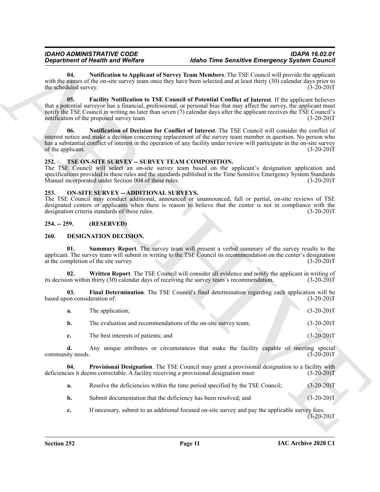#### <span id="page-10-12"></span><span id="page-10-10"></span>*IDAHO ADMINISTRATIVE CODE IDAPA 16.02.01 <u>Idaho Time Sensitive Emergency System Council*</u>

#### <span id="page-10-13"></span><span id="page-10-11"></span><span id="page-10-0"></span>**252. TSE ON-SITE SURVEY -- SURVEY TEAM COMPOSITION.**

#### <span id="page-10-9"></span><span id="page-10-1"></span>**253. ON-SITE SURVEY -- ADDITIONAL SURVEYS.**

#### <span id="page-10-2"></span>**254. -- 259. (RESERVED)**

#### <span id="page-10-8"></span><span id="page-10-7"></span><span id="page-10-5"></span><span id="page-10-4"></span><span id="page-10-3"></span>**260. DESIGNATION DECISION.**

|                                     | <b>Department of Health and Welfare</b>                                                                 | <b>Idaho Time Sensitive Emergency System Council</b>                                                                                                                                                                                                                                                                                                    |              |
|-------------------------------------|---------------------------------------------------------------------------------------------------------|---------------------------------------------------------------------------------------------------------------------------------------------------------------------------------------------------------------------------------------------------------------------------------------------------------------------------------------------------------|--------------|
| 04.<br>the scheduled survey.        |                                                                                                         | Notification to Applicant of Survey Team Members. The TSE Council will provide the applicant<br>with the names of the on-site survey team once they have been selected and at least thirty (30) calendar days prior to                                                                                                                                  | $(3-20-20)T$ |
| 05.                                 | notification of the proposed survey team.                                                               | Facility Notification to TSE Council of Potential Conflict of Interest. If the applicant believes<br>that a potential surveyor has a financial, professional, or personal bias that may affect the survey, the applicant must<br>notify the TSE Council in writing no later than seven (7) calendar days after the applicant receives the TSE Council's | $(3-20-20)T$ |
| 06.<br>of the applicant.            |                                                                                                         | Notification of Decision for Conflict of Interest. The TSE Council will consider the conflict of<br>interest notice and make a decision concerning replacement of the survey team member in question. No person who<br>has a substantial conflict of interest in the operation of any facility under review will participate in the on-site survey      | $(3-20-20)T$ |
| 252.                                | TSE ON-SITE SURVEY -- SURVEY TEAM COMPOSITION.<br>Manual incorporated under Section 004 of these rules. | The TSE Council will select an on-site survey team based on the applicant's designation application and<br>specifications provided in these rules and the standards published in the Time Sensitive Emergency System Standards                                                                                                                          | $(3-20-20)T$ |
| 253.                                | <b>ON-SITE SURVEY -- ADDITIONAL SURVEYS.</b><br>designation criteria standards of these rules.          | The TSE Council may conduct additional, announced or unannounced, full or partial, on-site reviews of TSE<br>designated centers or applicants when there is reason to believe that the center is not in compliance with the                                                                                                                             | $(3-20-20)T$ |
| $254. - 259.$                       | (RESERVED)                                                                                              |                                                                                                                                                                                                                                                                                                                                                         |              |
| 260.                                | DESIGNATION DECISION.                                                                                   |                                                                                                                                                                                                                                                                                                                                                         |              |
| 01.                                 | at the completion of the site survey.                                                                   | Summary Report. The survey team will present a verbal summary of the survey results to the<br>applicant. The survey team will submit in writing to the TSE Council its recommendation on the center's designation                                                                                                                                       | $(3-20-20)T$ |
| 02.                                 |                                                                                                         | Written Report. The TSE Council will consider all evidence and notify the applicant in writing of<br>its decision within thirty (30) calendar days of receiving the survey team's recommendation.                                                                                                                                                       | $(3-20-20)T$ |
| 03.<br>based upon consideration of: |                                                                                                         | Final Determination. The TSE Council's final determination regarding each application will be                                                                                                                                                                                                                                                           | $(3-20-20)T$ |
| a.                                  | The application;                                                                                        |                                                                                                                                                                                                                                                                                                                                                         | $(3-20-20)T$ |
| b.                                  | The evaluation and recommendations of the on-site survey team;                                          |                                                                                                                                                                                                                                                                                                                                                         | $(3-20-20)T$ |
| c.                                  | The best interests of patients; and                                                                     |                                                                                                                                                                                                                                                                                                                                                         | $(3-20-20)T$ |
| d.                                  |                                                                                                         | Any unique attributes or circumstances that make the facility capable of meeting special                                                                                                                                                                                                                                                                | $(3-20-20)T$ |
| community needs.                    |                                                                                                         |                                                                                                                                                                                                                                                                                                                                                         |              |
| 04.                                 | deficiencies it deems correctable. A facility receiving a provisional designation must:                 | Provisional Designation. The TSE Council may grant a provisional designation to a facility with                                                                                                                                                                                                                                                         | $(3-20-20)T$ |
| a.                                  |                                                                                                         | Resolve the deficiencies within the time period specified by the TSE Council;                                                                                                                                                                                                                                                                           | $(3-20-20)T$ |
| b.                                  | Submit documentation that the deficiency has been resolved; and                                         |                                                                                                                                                                                                                                                                                                                                                         | $(3-20-20)T$ |
| c.                                  |                                                                                                         | If necessary, submit to an additional focused on-site survey and pay the applicable survey fees.                                                                                                                                                                                                                                                        | $(3-20-20)T$ |

<span id="page-10-6"></span>

|  | Resolve the deficiencies within the time period specified by the TSE Council: | $(3-20-20)T$ |
|--|-------------------------------------------------------------------------------|--------------|
|--|-------------------------------------------------------------------------------|--------------|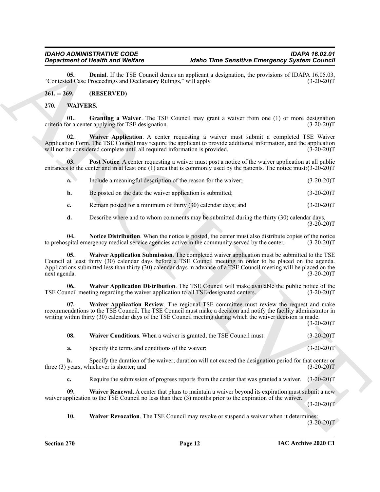<span id="page-11-2"></span>**05. Denial**. If the TSE Council denies an applicant a designation, the provisions of IDAPA 16.05.03, ed Case Proceedings and Declaratory Rulings," will apply. (3-20-20) "Contested Case Proceedings and Declaratory Rulings," will apply.

#### <span id="page-11-0"></span>**261. -- 269. (RESERVED)**

#### <span id="page-11-4"></span><span id="page-11-3"></span><span id="page-11-1"></span>**270. WAIVERS.**

**01. Granting a Waiver**. The TSE Council may grant a waiver from one (1) or more designation criteria for a center applying for TSE designation. (3-20-20)T

<span id="page-11-7"></span>**02. Waiver Application**. A center requesting a waiver must submit a completed TSE Waiver Application Form. The TSE Council may require the applicant to provide additional information, and the application will not be considered complete until all required information is provided. (3-20-20) will not be considered complete until all required information is provided.

**03.** Post Notice. A center requesting a waiver must post a notice of the waiver application at all public entrances to the center and in at least one  $(1)$  area that is commonly used by the patients. The notice must: $(3-20-20)$ T

<span id="page-11-6"></span>

| <b>a.</b> | Include a meaningful description of the reason for the waiver: | $(3-20-20)T$ |  |
|-----------|----------------------------------------------------------------|--------------|--|
|           | Be posted on the date the waiver application is submitted;     | $(3-20-20)T$ |  |

**c.** Remain posted for a minimum of thirty (30) calendar days; and  $(3-20-20)$ T

<span id="page-11-10"></span><span id="page-11-5"></span>**d.** Describe where and to whom comments may be submitted during the thirty (30) calendar days.  $(3-20-20)T$ 

**04.** Notice Distribution. When the notice is posted, the center must also distribute copies of the notice posital emergency medical service agencies active in the community served by the center. (3-20-20)T to prehospital emergency medical service agencies active in the community served by the center.

**Equivalent of Nearly Weight Control to the Control to the Control to the Control to the Control to the Control to the Control to the Control to the Control to the Control to the Control to the Control of the Control of t 05. Waiver Application Submission**. The completed waiver application must be submitted to the TSE Council at least thirty (30) calendar days before a TSE Council meeting in order to be placed on the agenda. Applications submitted less than thirty (30) calendar days in advance of a TSE Council meeting will be placed on the next agenda. (3-20-20)T

<span id="page-11-8"></span>**06. Waiver Application Distribution**. The TSE Council will make available the public notice of the TSE Council meeting regarding the waiver application to all TSE-designated centers. (3-20-20)T

**07. Waiver Application Review**. The regional TSE committee must review the request and make recommendations to the TSE Council. The TSE Council must make a decision and notify the facility administrator in writing within thirty (30) calendar days of the TSE Council meeting during which the waiver decision is made.

 $(3-20-20)T$ 

<span id="page-11-11"></span><span id="page-11-9"></span>**08.** Waiver Conditions. When a waiver is granted, the TSE Council must: (3-20-20)T

**a.** Specify the terms and conditions of the waiver; (3-20-20)T

**b.** Specify the duration of the waiver; duration will not exceed the designation period for that center or three (3) years, whichever is shorter; and (3-20-20)T

<span id="page-11-12"></span>**c.** Require the submission of progress reports from the center that was granted a waiver. (3-20-20)T

**09. Waiver Renewal**. A center that plans to maintain a waiver beyond its expiration must submit a new waiver application to the TSE Council no less than thee (3) months prior to the expiration of the waiver.

 $(3-20-20)T$ 

<span id="page-11-13"></span>**10. Waiver Revocation**. The TSE Council may revoke or suspend a waiver when it determines:

 $(3-20-20)T$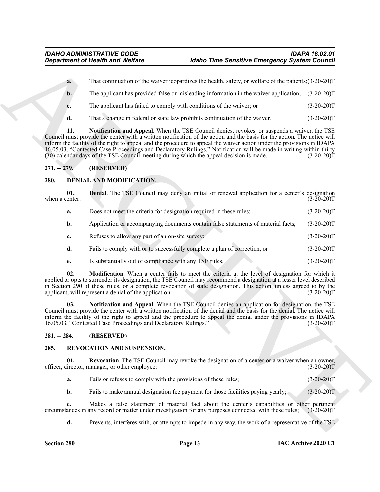- **a.** That continuation of the waiver jeopardizes the health, safety, or welfare of the patients;(3-20-20)T
- **b.** The applicant has provided false or misleading information in the waiver application;  $(3-20-20)T$
- **c.** The applicant has failed to comply with conditions of the waiver; or  $(3-20-20)T$
- <span id="page-12-10"></span>**d.** That a change in federal or state law prohibits continuation of the waiver. (3-20-20)T

#### <span id="page-12-0"></span>**271. -- 279. (RESERVED)**

#### <span id="page-12-5"></span><span id="page-12-4"></span><span id="page-12-1"></span>**280. DENIAL AND MODIFICATION.**

| <b>Department of Health and Welfare</b>                                                                                                                                                                                                                                                                                                                                                                                                                                                                                                                                                   |                                                                                                                                                                |                                                                                                                                                                                                                                                                                                                                                                                                                               | <b>Idaho Time Sensitive Emergency System Council</b> |              |  |
|-------------------------------------------------------------------------------------------------------------------------------------------------------------------------------------------------------------------------------------------------------------------------------------------------------------------------------------------------------------------------------------------------------------------------------------------------------------------------------------------------------------------------------------------------------------------------------------------|----------------------------------------------------------------------------------------------------------------------------------------------------------------|-------------------------------------------------------------------------------------------------------------------------------------------------------------------------------------------------------------------------------------------------------------------------------------------------------------------------------------------------------------------------------------------------------------------------------|------------------------------------------------------|--------------|--|
|                                                                                                                                                                                                                                                                                                                                                                                                                                                                                                                                                                                           | a.                                                                                                                                                             | That continuation of the waiver jeopardizes the health, safety, or welfare of the patients; (3-20-20)T                                                                                                                                                                                                                                                                                                                        |                                                      |              |  |
|                                                                                                                                                                                                                                                                                                                                                                                                                                                                                                                                                                                           | $b$ .                                                                                                                                                          | The applicant has provided false or misleading information in the waiver application; (3-20-20)T                                                                                                                                                                                                                                                                                                                              |                                                      |              |  |
|                                                                                                                                                                                                                                                                                                                                                                                                                                                                                                                                                                                           | c.                                                                                                                                                             | The applicant has failed to comply with conditions of the waiver; or                                                                                                                                                                                                                                                                                                                                                          |                                                      | $(3-20-20)T$ |  |
|                                                                                                                                                                                                                                                                                                                                                                                                                                                                                                                                                                                           | d.                                                                                                                                                             | That a change in federal or state law prohibits continuation of the waiver.                                                                                                                                                                                                                                                                                                                                                   |                                                      | $(3-20-20)T$ |  |
| 11.<br>Notification and Appeal. When the TSE Council denies, revokes, or suspends a waiver, the TSE<br>Council must provide the center with a written notification of the action and the basis for the action. The notice will<br>inform the facility of the right to appeal and the procedure to appeal the waiver action under the provisions in IDAPA<br>16.05.03, "Contested Case Proceedings and Declaratory Rulings." Notification will be made in writing within thirty<br>(30) calendar days of the TSE Council meeting during which the appeal decision is made.<br>$(3-20-20)T$ |                                                                                                                                                                |                                                                                                                                                                                                                                                                                                                                                                                                                               |                                                      |              |  |
| $271. - 279.$                                                                                                                                                                                                                                                                                                                                                                                                                                                                                                                                                                             |                                                                                                                                                                | (RESERVED)                                                                                                                                                                                                                                                                                                                                                                                                                    |                                                      |              |  |
| 280.                                                                                                                                                                                                                                                                                                                                                                                                                                                                                                                                                                                      |                                                                                                                                                                | DENIAL AND MODIFICATION.                                                                                                                                                                                                                                                                                                                                                                                                      |                                                      |              |  |
|                                                                                                                                                                                                                                                                                                                                                                                                                                                                                                                                                                                           | 01.<br>when a center:                                                                                                                                          | <b>Denial.</b> The TSE Council may deny an initial or renewal application for a center's designation                                                                                                                                                                                                                                                                                                                          |                                                      | $(3-20-20)T$ |  |
|                                                                                                                                                                                                                                                                                                                                                                                                                                                                                                                                                                                           | a.                                                                                                                                                             | Does not meet the criteria for designation required in these rules;                                                                                                                                                                                                                                                                                                                                                           |                                                      | $(3-20-20)T$ |  |
|                                                                                                                                                                                                                                                                                                                                                                                                                                                                                                                                                                                           | b.                                                                                                                                                             | Application or accompanying documents contain false statements of material facts;                                                                                                                                                                                                                                                                                                                                             |                                                      | $(3-20-20)T$ |  |
|                                                                                                                                                                                                                                                                                                                                                                                                                                                                                                                                                                                           | c.                                                                                                                                                             | Refuses to allow any part of an on-site survey;                                                                                                                                                                                                                                                                                                                                                                               |                                                      | $(3-20-20)T$ |  |
|                                                                                                                                                                                                                                                                                                                                                                                                                                                                                                                                                                                           | d.                                                                                                                                                             | Fails to comply with or to successfully complete a plan of correction, or                                                                                                                                                                                                                                                                                                                                                     |                                                      | $(3-20-20)T$ |  |
|                                                                                                                                                                                                                                                                                                                                                                                                                                                                                                                                                                                           | е.                                                                                                                                                             | Is substantially out of compliance with any TSE rules.                                                                                                                                                                                                                                                                                                                                                                        |                                                      | $(3-20-20)T$ |  |
|                                                                                                                                                                                                                                                                                                                                                                                                                                                                                                                                                                                           | 02.                                                                                                                                                            | Modification. When a center fails to meet the criteria at the level of designation for which it<br>applied or opts to surrender its designation, the TSE Council may recommend a designation at a lesser level described<br>in Section 290 of these rules, or a complete revocation of state designation. This action, unless agreed to by the<br>applicant, will represent a denial of the application.<br>$(3-20-20)T$      |                                                      |              |  |
|                                                                                                                                                                                                                                                                                                                                                                                                                                                                                                                                                                                           | 03.                                                                                                                                                            | Notification and Appeal. When the TSE Council denies an application for designation, the TSE<br>Council must provide the center with a written notification of the denial and the basis for the denial. The notice will<br>inform the facility of the right to appeal and the procedure to appeal the denial under the provisions in IDAPA<br>16.05.03, "Contested Case Proceedings and Declaratory Rulings."<br>$(3-20-20)T$ |                                                      |              |  |
| $281. - 284.$                                                                                                                                                                                                                                                                                                                                                                                                                                                                                                                                                                             |                                                                                                                                                                | (RESERVED)                                                                                                                                                                                                                                                                                                                                                                                                                    |                                                      |              |  |
| 285.                                                                                                                                                                                                                                                                                                                                                                                                                                                                                                                                                                                      |                                                                                                                                                                | REVOCATION AND SUSPENSION.                                                                                                                                                                                                                                                                                                                                                                                                    |                                                      |              |  |
|                                                                                                                                                                                                                                                                                                                                                                                                                                                                                                                                                                                           | 01.<br><b>Revocation</b> . The TSE Council may revoke the designation of a center or a waiver when an owner,<br>officer, director, manager, or other employee: |                                                                                                                                                                                                                                                                                                                                                                                                                               |                                                      | $(3-20-20)T$ |  |
|                                                                                                                                                                                                                                                                                                                                                                                                                                                                                                                                                                                           | a.                                                                                                                                                             | Fails or refuses to comply with the provisions of these rules;                                                                                                                                                                                                                                                                                                                                                                |                                                      | $(3-20-20)T$ |  |
|                                                                                                                                                                                                                                                                                                                                                                                                                                                                                                                                                                                           | $\mathbf{b}$ .                                                                                                                                                 | Fails to make annual designation fee payment for those facilities paying yearly;                                                                                                                                                                                                                                                                                                                                              |                                                      | $(3-20-20)T$ |  |
|                                                                                                                                                                                                                                                                                                                                                                                                                                                                                                                                                                                           | c.                                                                                                                                                             | Makes a false statement of material fact about the center's capabilities or other pertinent<br>circumstances in any record or matter under investigation for any purposes connected with these rules;                                                                                                                                                                                                                         |                                                      | $(3-20-20)T$ |  |
|                                                                                                                                                                                                                                                                                                                                                                                                                                                                                                                                                                                           | d.                                                                                                                                                             | Prevents, interferes with, or attempts to impede in any way, the work of a representative of the TSE                                                                                                                                                                                                                                                                                                                          |                                                      |              |  |

#### <span id="page-12-7"></span><span id="page-12-6"></span><span id="page-12-2"></span>**281. -- 284. (RESERVED)**

#### <span id="page-12-8"></span><span id="page-12-3"></span>**285. REVOCATION AND SUSPENSION.**

- <span id="page-12-9"></span>**a.** Fails or refuses to comply with the provisions of these rules; (3-20-20)T
- **b.** Fails to make annual designation fee payment for those facilities paying yearly; (3-20-20)T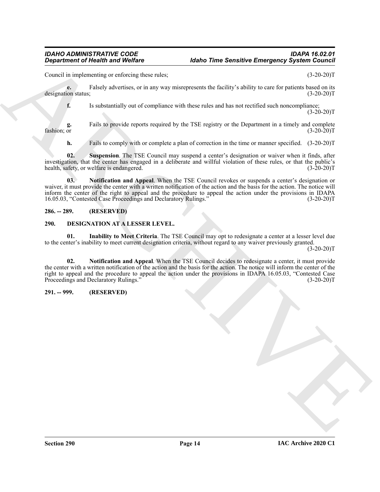#### *IDAHO ADMINISTRATIVE CODE IDAPA 16.02.01 <u>Idaho Time Sensitive Emergency System Council*</u>

Council in implementing or enforcing these rules; (3-20-20)T

**e.** Falsely advertises, or in any way misrepresents the facility's ability to care for patients based on its on status: (3-20-20) designation status;

**f.** Is substantially out of compliance with these rules and has not rectified such noncompliance;  $(3-20-20)T$ 

**g.** Fails to provide reports required by the TSE registry or the Department in a timely and complete fashion; or (3-20-20)  $f$ ashion; or  $(3-20-20)$ T

<span id="page-13-7"></span><span id="page-13-6"></span>**h.** Fails to comply with or complete a plan of correction in the time or manner specified. (3-20-20)T

**02. Suspension**. The TSE Council may suspend a center's designation or waiver when it finds, after investigation, that the center has engaged in a deliberate and willful violation of these rules, or that the public's health, safety, or welfare is endangered.

**03. Notification and Appeal**. When the TSE Council revokes or suspends a center's designation or waiver, it must provide the center with a written notification of the action and the basis for the action. The notice will inform the center of the right to appeal and the procedure to appeal the action under the provisions in IDAPA 16.05.03, "Contested Case Proceedings and Declaratory Rulings." (3-20-20)T

#### <span id="page-13-0"></span>**286. -- 289. (RESERVED)**

#### <span id="page-13-3"></span><span id="page-13-1"></span>**290. DESIGNATION AT A LESSER LEVEL.**

<span id="page-13-5"></span><span id="page-13-4"></span>**01. Inability to Meet Criteria**. The TSE Council may opt to redesignate a center at a lesser level due to the center's inability to meet current designation criteria, without regard to any waiver previously granted.

 $(3-20-20)T$ 

**Equation of Highlin and Wolfare**<br>
Counsel as implementary or active to such a straighter and the first state of the straighter and the straighter and the straighter and the straighter and the straighter and the straighte **02. Notification and Appeal**. When the TSE Council decides to redesignate a center, it must provide the center with a written notification of the action and the basis for the action. The notice will inform the center of the right to appeal and the procedure to appeal the action under the provisions in IDAPA 16.05.03, "Contested Case Proceedings and Declaratory Rulings." (3-20-20)T

#### <span id="page-13-2"></span>**291. -- 999. (RESERVED)**